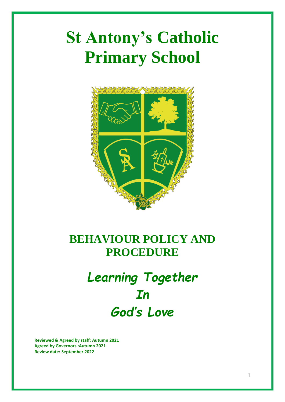# **St Antony's Catholic Primary School**



## **BEHAVIOUR POLICY AND PROCEDURE**

## *Learning Together In God's Love*

**Reviewed & Agreed by staff: Autumn 2021 Agreed by Governors :Autumn 2021 Review date: September 2022**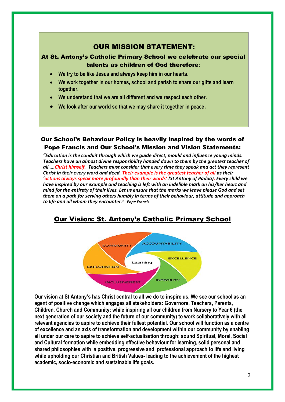## OUR MISSION STATEMENT:

## At St. Antony's Catholic Primary School we celebrate our special talents as children of God therefore**:**

- **We try to be like Jesus and always keep him in our hearts.**
- **We work together in our homes, school and parish to share our gifts and learn together.**
- **We understand that we are all different and we respect each other.**
- **We look after our world so that we may share it together in peace.**

## Our School's Behaviour Policy is heavily inspired by the words of Pope Francis and Our School's Mission and Vision Statements:

*"Education is the conduit through which we guide direct, mould and influence young minds. Teachers have an almost divine responsibility handed down to them by the greatest teacher of all ….Christ himself. Teachers must consider that every time they speak and act they represent Christ in their every word and deed. Their example is the greatest teacher of all as their 'actions always speak more profoundly than their words' (St Antony of Padua). Every child we have inspired by our example and teaching is left with an indelible mark on his/her heart and mind for the entirety of their lives. Let us ensure that the marks we leave please God and set them on a path for serving others humbly in terms of their behaviour, attitude and approach to life and all whom they encounter." Pope Francis*

## Our Vision: St. Antony's Catholic Primary School



**Our vision at St Antony's has Christ central to all we do to inspire us. We see our school as an agent of positive change which engages all stakeholders: Governors, Teachers, Parents, Children, Church and Community; while inspiring all our children from Nursery to Year 6 (the next generation of our society and the future of our community) to work collaboratively with all relevant agencies to aspire to achieve their fullest potential. Our school will function as a centre of excellence and an axis of transformation and development within our community by enabling all under our care to aspire to achieve self-actualisation through: sound Spiritual, Moral, Social and Cultural formation while embedding effective behaviour for learning, solid personal and shared philosophies with a positive, progressive and professional approach to life and living while upholding our Christian and British Values- leading to the achievement of the highest academic, socio-economic and sustainable life goals.**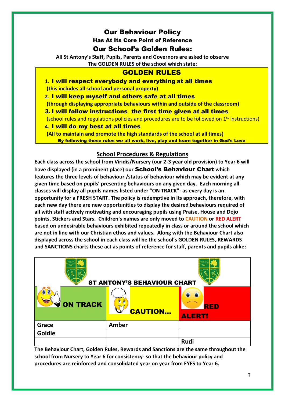## Our Behaviour Policy

Has At Its Core Point of Reference

## Our School's Golden Rules:

**All St Antony's Staff, Pupils, Parents and Governors are asked to observe The GOLDEN RULES of the school which state:**

## GOLDEN RULES

**1.** I will respect everybody and everything at all times **(this includes all school and personal property)** 

**2.** I will keep myself and others safe at all times

**(through displaying appropriate behaviours within and outside of the classroom)**

3.I will follow instructions the first time given at all times

(school rules and regulations policies and procedures are to be followed on  $1<sup>st</sup>$  instructions)

**4.** I will do my best at all times

**(All to maintain and promote the high standards of the school at all times)** By following these rules we all work, live, play and learn together in God's Love

## **School Procedures & Regulations**

**Each class across the school from Viridis/Nursery (our 2-3 year old provision) to Year 6 will have displayed (in a prominent place) our** School's Behaviour Chart **which features the three levels of behaviour /status of behaviour which may be evident at any given time based on pupils' presenting behaviours on any given day. Each morning all classes will display all pupils names listed under "ON TRACK"- as every day is an opportunity for a FRESH START. The policy is redemptive in its approach, therefore, with each new day there are new opportunities to display the desired behaviours required of all with staff actively motivating and encouraging pupils using Praise, House and Dojo points, Stickers and Stars. Children's names are only moved to CAUTION or RED ALERT based on undesirable behaviours exhibited repeatedly in class or around the school which are not in line with our Christian ethos and values. Along with the Behaviour Chart also displayed across the school in each class will be the school's GOLDEN RULES, REWARDS and SANCTIONS charts these act as points of reference for staff, parents and pupils alike:**

|                  | <b>ST ANTONY'S BEHAVIOUR CHART</b> |                             |
|------------------|------------------------------------|-----------------------------|
| <b>VON TRACK</b> | <b>CAUTION</b>                     | <b>RED</b><br><b>ALERT!</b> |
| Grace            | <b>Amber</b>                       |                             |
| Goldie           |                                    |                             |
|                  |                                    | <b>Rudi</b>                 |

**The Behaviour Chart, Golden Rules, Rewards and Sanctions are the same throughout the school from Nursery to Year 6 for consistency- so that the behaviour policy and procedures are reinforced and consolidated year on year from EYFS to Year 6.**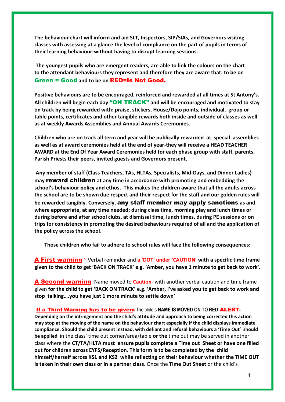**The behaviour chart will inform and aid SLT, Inspectors, SIP/SIAs, and Governors visiting classes with assessing at a glance the level of compliance on the part of pupils in terms of their learning behaviour-without having to disrupt learning sessions.**

**The youngest pupils who are emergent readers, are able to link the colours on the chart to the attendant behaviours they represent and therefore they are aware that: to be on** Green = Good **and to be on** RED=Is Not Good.

**Positive behaviours are to be encouraged, reinforced and rewarded at all times at St Antony's. All children will begin each day** "ON TRACK" **and will be encouraged and motivated to stay on track by being rewarded with: praise, stickers, House/Dojo points, individual, group or table points, certificates and other tangible rewards both inside and outside of classes as well as at weekly Awards Assemblies and Annual Awards Ceremonies.** 

**Children who are on track all term and year will be publically rewarded at special assemblies as well as at award ceremonies held at the end of year-they will receive a HEAD TEACHER AWARD at the End Of Year Award Ceremonies held for each phase group with staff, parents, Parish Priests their peers, invited guests and Governors present.**

**Any member of staff (Class Teachers, TAs, HLTAs, Specialists, Mid-Days, and Dinner Ladies) may** reward children **at any time in accordance with promoting and embedding the school's behaviour policy and ethos. This makes the children aware that all the adults across the school are to be shown due respect and their respect for the staff and our golden rules will be rewarded tangibly. Conversely,** any staff member may apply sanctions **as and where appropriate, at any time needed: during class time, morning play and lunch times or during before and after school clubs, at dismissal time, lunch times, during PE sessions or on trips for consistency in promoting the desired behaviours required of all and the application of the policy across the school.** 

**Those children who fail to adhere to school rules will face the following consequences:**

A First warning ~ Verbal reminder and **a 'DOT' under 'CAUTION' with a specific time frame given to the child to get 'BACK ON TRACK' e.g. 'Amber, you have 1 minute to get back to work'.**

A Second warning: Name moved to **Caution**- with another verbal caution and time frame given **for the child to get 'BACK ON TRACK' e.g. 'Amber, I've asked you to get back to work and stop talking….you have just 1 more minute to settle down'**

#### If a Third Warning has to be given: The child's **NAME IS MOVED ON TO RED** ALERT**-**

**Depending on the infringement and the child's attitude and approach to being corrected this action may stop at the moving of the name on the behaviour chart especially if the child displays immediate compliance. Should the child present instead, with defiant and refusal behaviours a 'Time Out' should be applied** in the class' time out corner/area/table **or the** time out may be served in another class where the **CT/TA/HLTA must ensure pupils complete a** T**ime out Sheet or have one filled out for children across EYFS/Reception. This form is to be completed by the child himself/herself across KS1 and KS2 while reflecting on their behaviour whether the TIME OUT is taken in their own class or in a partner class.** Once the **Time Out Sheet** or the child's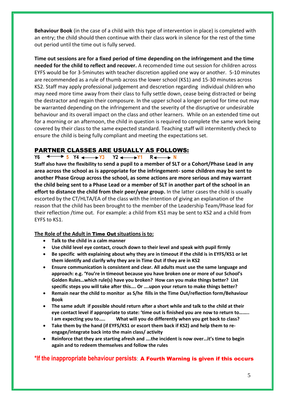**Behaviour Book** (in the case of a child with this type of intervention in place) is completed with an entry; the child should then continue with their class work in silence for the rest of the time out period until the time out is fully served.

**Time out sessions are for a fixed period of time depending on the infringement and the time needed for the child to reflect and recover.** A recomended time out session for children across EYFS would be for 3-5minutes with teacher discretion applied one way or another. 5-10 minutes are recommended as a rule of thumb across the lower school (KS1) and 15-30 minutes across KS2. Staff may apply professional judgement and descretion regarding individual children who may need more time away from their class to fully settle down, cease being distracted or being the destractor and regain their composure. In the upper school a longer period for time out may be warranted depending on the infringement and the severity of the disruptive or undesirable behaviour and its overall impact on the class and other learners. While on an extended time out for a morning or an afternoon, the child in question is required to complete the same work being covered by their class to the same expected standard. Teaching staff will intermitently check to ensure the child is being fully compliant and meeting the expectations set.

### PARTNER CLASSES ARE USUALLY AS FOLLOWS:

**Y6**  $\longleftrightarrow$  5 Y4  $\longleftrightarrow$  Y<sub>3</sub> Y<sub>2</sub>  $\longleftrightarrow$  Y<sub>1</sub> R  $\longleftrightarrow$  N

**Staff also have the flexibility to send a pupil to a member of SLT or a Cohort/Phase Lead in any area across the school as is appropriate for the infringement- some children may be sent to another Phase Group across the school, as some actions are more serious and may warrant the child being sent to a Phase Lead or a member of SLT in another part of the school in an effort to distance the child from their peer/year group.** In the latter cases the child is usually escorted by the CT/HLTA/EA of the class with the intention of giving an explanation of the reason that the child has been brought to the member of the Leadership Team/Phase lead for their reflection /time out. For example: a child from KS1 may be sent to KS2 and a child from EYFS to KS1.

#### **The Role of the Adult in** Time Out **situations is to:**

- **Talk to the child in a calm manner**
- **Use child level eye contact, crouch down to their level and speak with pupil firmly**
- **Be specific with explaining about why they are in timeout if the child is in EYFS/KS1 or let them identify and clarify why they are in Time Out if they are in KS2**
- **Ensure communication is consistent and clear. All adults must use the same language and approach: e.g. 'You're in timeout because you have broken one or more of our School's Golden Rules…which rule(s) have you broken? How can you make things better? List specific steps you will take after this…. Or ….upon your return to make things better?**
- **Remain near the child to monitor as S/he fills in the Time Out/reflection form/Behaviour Book**
- **The same adult if possible should return after a short while and talk to the child at their eye contact level if appropriate to state: 'time out is finished you are now to return to…….. I am expecting you to….. What will you do differently when you get back to class?**
- **Take them by the hand (if EYFS/KS1 or escort them back if KS2) and help them to reengage/integrate back into the main class/ activity**
- **Reinforce that they are starting afresh and ….the incident is now over…it's time to begin again and to redeem themselves and follow the rules**

### **\*If the inappropriate behaviour persists**: A Fourth Warning is given if this occurs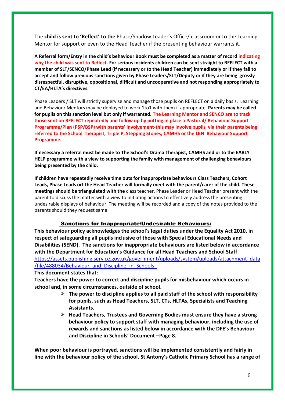The **child is sent to 'Reflect' to the** Phase/Shadow Leader's Office/ classroom or to the Learning Mentor for support or even to the Head Teacher if the presenting behaviour warrants it.

**A Referral form/Entry in the child's behaviour Book must be completed as a matter of record indicating why the child was sent to Reflect. For serious incidents children can be sent straight to REFLECT with a member of SLT/SENCO/Phase Lead (if necessary or to the Head Teacher) immediately or if they fail to accept and follow previous sanctions given by Phase Leaders/SLT/Deputy or if they are being grossly disrespectful, disruptive, oppositional, difficult and uncooperative and not responding appropriately to CT/EA/HLTA's directives.** 

Phase Leaders / SLT will strictly supervise and manage those pupils on REFLECT on a daily basis. Learning and Behaviour Mentors may be deployed to work 1to1 with them if appropriate. **Parents may be called for pupils on this sanction level but only if warranted. The Learning Mentor and SENCO are to track those sent on REFLECT repeatedly and follow up by putting in place a Pastoral/ Behaviour Support Programme/Plan (PSP/BSP) with parents' involvement-this may involve pupils via their parents being referred to the School Therapist, Triple P, Stepping Stones, CAMHS or the LBN Behaviour Support Programme.** 

**If necessary a referral must be made to The School's Drama Therapist, CAMHS and or to the EARLY HELP programme with a view to supporting the family with management of challenging behaviours being presented by the child.**

**If children have repeatedly receive time outs for inappropriate behaviours Class Teachers, Cohort Leads, Phase Leads ort the Head Teacher will formally meet with the parent/carer of the child. These meetings should be triangulated with the** class teacher, Phase Leader or Head Teacher present with the parent to discuss the matter with a view to initiating actions to effectively address the presenting undesirable displays of behaviour. The meeting will be recorded and a copy of the notes provided to the parents should they request same.

#### Sanctions for Inappropriate/Undesirable Behaviours:

**This behaviour policy acknowledges the school's legal duties under the Equality Act 2010, in respect of safeguarding all pupils inclusive of those with Special Educational Needs and Disabilities (SEND). The sanctions for inappropriate behaviours are listed below in accordance with the Department for Education's Guidance for all Head Teachers and School Staff** [https://assets.publishing.service.gov.uk/government/uploads/system/uploads/attachment\\_data](https://assets.publishing.service.gov.uk/government/uploads/system/uploads/attachment_data/file/488034/Behaviour_and_Discipline_in_Schools_a) /file/488034/Behaviour\_and\_Discipline\_in\_Schools

**This document states that:**

**Teachers have the power to correct and discipline pupils for misbehaviour which occurs in school and, in some circumstances, outside of school.** 

- ➢ **The power to discipline applies to all paid staff of the school with responsibility for pupils, such as Head Teachers, SLT, CTs, HLTAs, Specialists and Teaching Assistants.**
- ➢ **Head Teachers, Trustees and Governing Bodies must ensure they have a strong behaviour policy to support staff with managing behaviour, including the use of rewards and sanctions as listed below in accordance with the DFE's Behaviour and Discipline in Schools' Document –Page 8.**

**When poor behaviour is portrayed, sanctions will be implemented consistently and fairly in line with the behaviour policy of the school. St Antony's Catholic Primary School has a range of**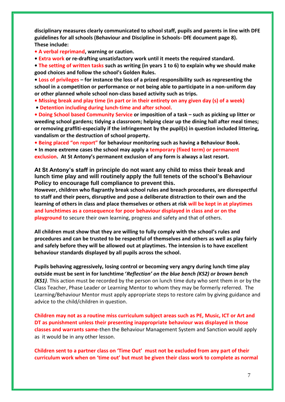**disciplinary measures clearly communicated to school staff, pupils and parents in line with DFE guidelines for all schools (Behaviour and Discipline in Schools- DfE document page 8). These include:** 

- **A verbal reprimand, warning or caution.**
- **Extra work or re-drafting unsatisfactory work until it meets the required standard.**

**• The setting of written tasks such as writing (in years 1 to 6) to explain why we should make good choices and follow the school's Golden Rules.**

**• Loss of privileges – for instance the loss of a prized responsibility such as representing the school in a competition or performance or not being able to participate in a non-uniform day or other planned whole school non-class based activity such as trips.**

- **Missing break and play time (in part or in their entirety on any given day (s) of a week)**
- **Detention including during lunch-time and after school.**

**• Doing School based Community Service or imposition of a task – such as picking up litter or weeding school gardens; tidying a classroom; helping clear up the dining hall after meal times; or removing graffiti-especially if the infringement by the pupil(s) in question included littering, vandalism or the destruction of school property.** 

**• Being placed "on report" for behaviour monitoring such as having a Behaviour Book.** 

**• In more extreme cases the school may apply a temporary (fixed term) or permanent exclusion. At St Antony's permanent exclusion of any form is always a last resort.**

**At St Antony's staff in principle do not want any child to miss their break and lunch time play and will routinely apply the full tenets of the school's Behaviour Policy to encourage full compliance to prevent this.** 

**However, children who flagrantly break school rules and breach procedures, are disrespectful to staff and their peers, disruptive and pose a deliberate distraction to their own and the learning of others in class and place themselves or others at risk will be kept in at playtimes and lunchtimes as a consequence for poor behaviour displayed in class and or on the playground** to secure their own learning, progress and safety and that of others.

**All children must show that they are willing to fully comply with the school's rules and procedures and can be trusted to be respectful of themselves and others as well as play fairly and safely before they will be allowed out at playtimes. The intension is to have excellent behaviour standards displayed by all pupils across the school.**

**Pupils behaving aggressively, losing control or becoming very angry during lunch time play outside must be sent in for lunchtime '***Reflection' on the blue bench (KS2) or brown bench (KS1)*. This action must be recorded by the person on lunch time duty who sent them in or by the Class Teacher, Phase Leader or Learning Mentor to whom they may be formerly referred. The Learning/Behaviour Mentor must apply appropriate steps to restore calm by giving guidance and advice to the child/children in question.

**Children may not as a routine miss curriculum subject areas such as PE, Music, ICT or Art and DT as punishment unless their presenting inappropriate behaviour was displayed in those classes and warrants same**-then the Behaviour Management System and Sanction would apply as it would be in any other lesson.

**Children sent to a partner class on 'Time Out' must not be excluded from any part of their curriculum work when on 'time out' but must be given their class work to complete as normal**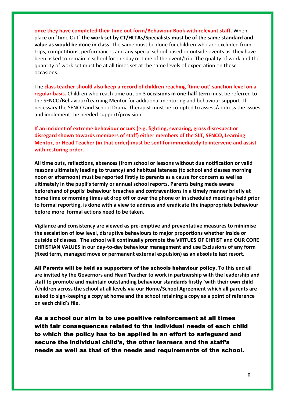**once they have completed their time out form/Behaviour Book with relevant staff.** When place on 'Time Out'-**the work set by CT/HLTAs/Specialists must be of the same standard and value as would be done in class**. The same must be done for children who are excluded from trips, competitions, performances and any special school based or outside events as they have been asked to remain in school for the day or time of the event/trip. The quality of work and the quantity of work set must be at all times set at the same levels of expectation on these occasions.

The **class teacher should also keep a record of children reaching 'time out' sanction level on a regular basis.** Children who reach time out on 3 **occasions in one-half term** must be referred to the SENCO/Behaviour/Learning Mentor for additional mentoring and behaviour support- If necessary the SENCO and School Drama Therapist must be co-opted to assess/address the issues and implement the needed support/provision.

**If an incident of extreme behaviour occurs (e.g. fighting, swearing, gross disrespect or disregard shown towards members of staff) either members of the SLT, SENCO, Learning Mentor, or Head Teacher (in that order) must be sent for immediately to intervene and assist with restoring order.**

**All time outs, reflections, absences (from school or lessons without due notification or valid reasons ultimately leading to truancy) and habitual lateness (to school and classes morning noon or afternoon) must be reported firstly to parents as a cause for concern as well as ultimately in the pupil's termly or annual school reports. Parents being made aware beforehand of pupils' behaviour breaches and contraventions in a timely manner briefly at home time or morning times at drop off or over the phone or in scheduled meetings held prior to formal reporting, is done with a view to address and eradicate the inappropriate behaviour before more formal actions need to be taken.**

**Vigilance and consistency are viewed as pre-emptive and preventative measures to minimise the escalation of low level, disruptive behaviours to major proportions whether inside or outside of classes. The school will continually promote the VIRTUES OF CHRIST and OUR CORE CHRISTIAN VALUES in our day-to-day behaviour management and use Exclusions of any form (fixed term, managed move or permanent external expulsion) as an absolute last resort.** 

All Parents will be held as supporters of the schools behaviour policy**. To this end all are invited by the Governors and Head Teacher to work in partnership with the leadership and staff to promote and maintain outstanding behaviour standards firstly `with their own child /children across the school at all levels via our Home/School Agreement which all parents are asked to sign-keeping a copy at home and the school retaining a copy as a point of reference on each child's file.** 

As a school our aim is to use positive reinforcement at all times with fair consequences related to the individual needs of each child to which the policy has to be applied in an effort to safeguard and secure the individual child's, the other learners and the staff's needs as well as that of the needs and requirements of the school.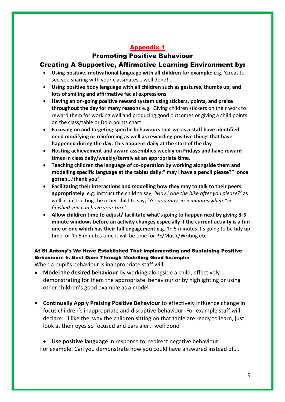## Promoting Positive Behaviour

## Creating A Supportive, Affirmative Learning Environment by:

- **Using positive, motivational language with all children for example:** e.g. 'Great to see you sharing with your classmates… well done!
- **Using positive body language with all children such as gestures, thumbs up, and lots of smiling and affirmative facial expressions**
- **Having an on-going positive reward system using stickers, points, and praise throughout the day for many reasons** e.g. Giving children stickers on their work to reward them for working well and producing good outcomes or giving a child points on the class/table or Dojo points chart
- **Focusing on and targeting specific behaviours that we as a staff have identified need modifying or reinforcing as well as rewarding positive things that have happened during the day. This happens daily at the start of the day**
- **Hosting achievement and award assemblies weekly on Fridays and have reward times in class daily/weekly/termly at an appropriate time.**
- **Teaching children the language of co-operation by working alongside them and modelling specific language at the tables daily:" may I have a pencil please?" once gotten...'thank you'**
- **Facilitating their interactions and modelling how they may to talk to their peers appropriately** e.g. Instruct the child to say; *'May I ride the bike after you please?'* as well as instructing the other child to say; '*Yes you may, in 5 minutes when I've finished you can have your turn'*
- **Allow children time to adjust/ facilitate what's going to happen next by giving 3-5 minute windows before an activity changes especially if the current activity is a fun one or one which has their full engagement e.g**. 'In 5 minutes it's going to be tidy up time' or 'In 5 minutes time it will be time for PE/Music/Writing etc.

## At St Antony's We Have Established That implementing and Sustaining Positive Behaviours Is Best Done Through Modelling Good Example:

When a pupil's behaviour is inappropriate staff will:

- **Model the desired behaviour** by working alongside a child, effectively demonstrating for them the appropriate behaviour or by highlighting or using other children's good example as a model
- **Continually Apply Praising Positive Behaviour** to effectively influence change in focus children's inappropriate and disruptive behaviour. For example staff will declare: 'I like the way the children sitting on that table are ready to learn, just look at their eyes so focused and ears alert- well done'

• **Use positive language** in response to redirect negative behaviour For example: Can you demonstrate how you could have answered instead of….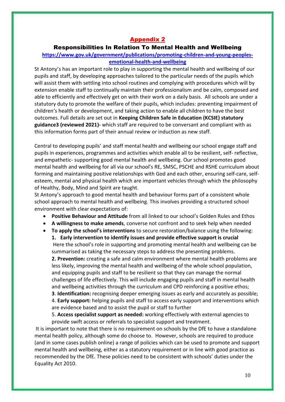#### Responsibilities In Relation To Mental Health and Wellbeing

#### **[https://www.gov.uk/government/publications/promoting-children-and-young-peoples](https://www.gov.uk/government/publications/promoting-children-and-young-peoples-emotional-health-and-wellbeing)[emotional-health-and-wellbeing](https://www.gov.uk/government/publications/promoting-children-and-young-peoples-emotional-health-and-wellbeing)**

St Antony's has an important role to play in supporting the mental health and wellbeing of our pupils and staff, by developing approaches tailored to the particular needs of the pupils which will assist them with settling into school routines and complying with procedures which will by extension enable staff to continually maintain their professionalism and be calm, composed and able to efficiently and effectively get on with their work on a daily basis. All schools are under a statutory duty to promote the welfare of their pupils, which includes: preventing impairment of children's health or development, and taking action to enable all children to have the best outcomes. Full details are set out in **Keeping Children Safe in Education (KCSIE) statutory guidance3 (reviewed 2021)-** which staff are required to be conversant and compliant with as this information forms part of their annual review or induction as new staff.

Central to developing pupils' and staff mental health and wellbeing our school engage staff and pupils in experiences, programmes and activities which enable all to be resilient, self- reflective, and empathetic- supporting good mental health and wellbeing. Our school promotes good mental health and wellbeing for all via our school's RE, SMSC, PSCHE and RSHE curriculum about forming and maintaining positive relationships with God and each other, ensuring self-care, selfesteem, mental and physical health which are important vehicles through which the philosophy of Healthy, Body, Mind and Spirit are taught.

St Antony's approach to good mental health and behaviour forms part of a consistent whole school approach to mental health and wellbeing. This involves providing a structured school environment with clear expectations of:

- **Positive Behaviour and Attitude** from all linked to our school's Golden Rules and Ethos
- **A willingness to make amends**, converse not confront and to seek help when needed
- **To apply the school's interventions** to secure restoration/balance using the following:

**1. Early intervention to identify issues and provide effective support is crucial** Here the school's role in supporting and promoting mental health and wellbeing can be summarised as taking the necessary steps to address the presenting problems.

**2. Prevention:** creating a safe and calm environment where mental health problems are less likely, improving the mental health and wellbeing of the whole school population, and equipping pupils and staff to be resilient so that they can manage the normal challenges of life effectively. This will include engaging pupils and staff in mental health and wellbeing activities through the curriculum and CPD reinforcing a positive ethos;

**3**. **Identification:** recognising deeper emerging issues as early and accurately as possible; 4. **Early support:** helping pupils and staff to access early support and interventions which are evidence based and to assist the pupil or staff to further

5. **Access specialist support as needed:** working effectively with external agencies to provide swift access or referrals to specialist support and treatment.

It is important to note that there is no requirement on schools by the DfE to have a standalone mental health policy, although some do choose to. However, schools are required to produce (and in some cases publish online) a range of policies which can be used to promote and support mental health and wellbeing, either as a statutory requirement or in line with good practice as recommended by the DfE. These policies need to be consistent with schools' duties under the Equality Act 2010.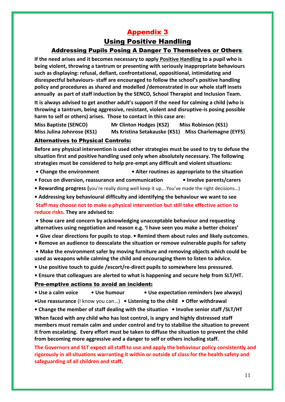## Using Positive Handling Addressing Pupils Posing A Danger To Themselves or Others**:**

**If the need arises and it becomes necessary to apply Positive Handling to a pupil who is being violent, throwing a tantrum or presenting with seriously inappropriate behaviours such as displaying: refusal, defiant, confrontational, oppositional, intimidating and disrespectful behaviours- staff are encouraged to follow the school's positive handling policy and procedures as shared and modelled /demonstrated in our whole staff insets annually as part of staff induction by the SENCO, School Therapist and Inclusion Team.** 

**It is always advised to get another adult's support if the need for calming a child (who is throwing a tantrum, being aggressive, resistant, violent and disruptive-is posing possible harm to self or others) arises. Those to contact in this case are:** 

**Miss Baptiste (SENCO) Mr Clinton Hodges (KS2) Miss Robinson (KS1) Miss Julina Johnrose (KS1) Ms Kristina Setakauske (KS1) Miss Charlemagne (EYFS)** 

#### Alternatives to Physical Controls:

**Before any physical intervention is used other strategies must be used to try to defuse the situation first and positive handling used only when absolutely necessary. The following strategies must be considered to help pre-empt any difficult and violent situations:** 

- **Change the environment Alter routines as appropriate to the situation**
- **Focus on diversion, reassurance and communication Involve parents/carers**
- **Rewarding progress (**you're really doing well keep it up….You've made the right decisions…)
- **Addressing key behavioural difficulty and identifying the behaviour we want to see**

**Staff may choose not to make a physical intervention but still take effective action to reduce risks. They are advised to:**

**• Show care and concern by acknowledging unacceptable behaviour and requesting alternatives using negotiation and reason e.g. 'I have seen you make a better choices'**

- **Give clear directions for pupils to stop. Remind them about rules and likely outcomes.**
- **Remove an audience to deescalate the situation or remove vulnerable pupils for safety**
- **Make the environment safer by moving furniture and removing objects which could be used as weapons while calming the child and encouraging them to listen to advice.**
- **Use positive touch to guide /escort/re-direct pupils to somewhere less pressured.**
- **Ensure that colleagues are alerted to what is happening and secure help from SLT/HT.**

#### Pre-emptive actions to avoid an incident:

**• Use a calm voice • Use humour • Use expectation reminders (we always) •Use reassurance** (I know you can…) **• Listening to the child • Offer withdrawal**

**• Change the member of staff dealing with the situation • Involve senior staff /SLT/HT When faced with any child who has lost control, is angry and highly distressed staff members must remain calm and under control and try to stabilise the situation to prevent it from escalating. Every effort must be taken to diffuse the situation to prevent the child from becoming more aggressive and a danger to self or others including staff.** 

**The Governors and SLT expect all staff to use and apply the behaviour policy consistently and rigorously in all situations warranting it within or outside of class for the health safety and safeguarding of all children and staff.**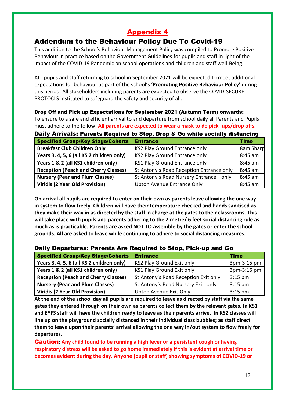## Addendum to the Behaviour Policy Due To Covid-19

This addition to the School's Behaviour Management Policy was compiled to Promote Positive Behaviour in practice based on the Government Guidelines for pupils and staff in light of the impact of the COVID-19 Pandemic on school operations and children and staff well-Being.

ALL pupils and staff returning to school in September 2021 will be expected to meet additional expectations for behaviour as part of the school's '**Promoting Positive Behaviour Policy'** during this period. All stakeholders including parents are expected to observe the COVID-SECURE PROTOCLS instituted to safeguard the safety and security of all.

Drop Off and Pick up Expectations for September 2021 (Autumn Term) onwards: To ensure to a safe and efficient arrival to and departure from school daily all Parents and Pupils must adhere to the follow: **All parents are expected to wear a mask to do pick- ups/drop offs.**

Daily Arrivals: Parents Required to Stop, Drop & Go while socially distancing

| <b>Specified Group/Key Stage/Cohorts</b>    | <b>Entrance</b>                           | <b>Time</b> |
|---------------------------------------------|-------------------------------------------|-------------|
| <b>Breakfast Club Children Only</b>         | KS2 Play Ground Entrance only             | 8am Sharp   |
| Years 3, 4, 5, 6 (all KS 2 children only)   | KS2 Play Ground Entrance only             | 8:45 am     |
| Years 1 & 2 (all KS1 children only)         | KS1 Play Ground Entrance only             | 8:45 am     |
| <b>Reception (Peach and Cherry Classes)</b> | St Antony's Road Reception Entrance only  | 8:45 am     |
| <b>Nursery (Pear and Plum Classes)</b>      | St Antony's Road Nursery Entrance<br>only | 8:45 am     |
| Viridis (2 Year Old Provision)              | Upton Avenue Entrance Only                | 8:45 am     |

**On arrival all pupils are required to enter on their own as parents leave allowing the one way in system to flow freely. Children will have their temperature checked and hands sanitised as they make their way in as directed by the staff in charge at the gates to their classrooms. This will take place with pupils and parents adhering to the 2 metre/ 6 feet social distancing rule as much as is practicable. Parents are asked NOT TO assemble by the gates or enter the school grounds. All are asked to leave while continuing to adhere to social distancing measures.**

### Daily Departures: Parents Are Required to Stop, Pick-up and Go

| <b>Specified Group/Key Stage/Cohorts</b>    | <b>Entrance</b>                      | <b>Time</b> |
|---------------------------------------------|--------------------------------------|-------------|
| Years 3, 4, 5, 6 (all KS 2 children only)   | KS2 Play Ground Exit only            | 3pm-3:15 pm |
| Years 1 & 2 (all KS1 children only)         | KS1 Play Ground Exit only            | 3pm-3:15 pm |
| <b>Reception (Peach and Cherry Classes)</b> | St Antony's Road Reception Exit only | $3:15$ pm   |
| <b>Nursery (Pear and Plum Classes)</b>      | St Antony's Road Nursery Exit only   | $3:15$ pm   |
| Viridis (2 Year Old Provision)              | Upton Avenue Exit Only               | $3:15$ pm   |

**At the end of the school day all pupils are required to leave as directed by staff via the same gates they entered through on their own as parents collect them by the relevant gates. In KS1 and EYFS staff will have the children ready to leave as their parents arrive. In KS2 classes will line up on the playground socially distanced in their individual class bubbles; as staff direct them to leave upon their parents' arrival allowing the one way in/out system to flow freely for departures.**

Caution**: Any child found to be running a high fever or a persistent cough or having respiratory distress will be asked to go home immediately if this is evident at arrival time or becomes evident during the day. Anyone (pupil or staff) showing symptoms of COVID-19 or**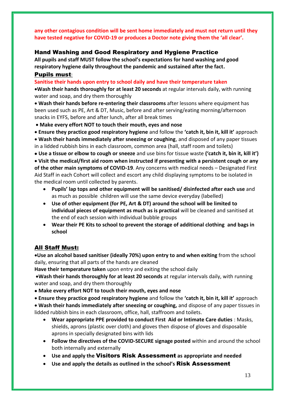**any other contagious condition will be sent home immediately and must not return until they have tested negative for COVID-19 or produces a Doctor note giving them the 'all clear'.**

### Hand Washing and Good Respiratory and Hygiene Practice

**All pupils and staff MUST follow the school's expectations for hand washing and good respiratory hygiene daily throughout the pandemic and sustained after the fact.**

#### Pupils must:

**Sanitise their hands upon entry to school daily and have their temperature taken**

•**Wash their hands thoroughly for at least 20 seconds** at regular intervals daily, with running water and soap, and dry them thoroughly

• **Wash their hands before re-entering their classrooms** after lessons where equipment has been used such as PE, Art & DT, Music, before and after serving/eating morning/afternoon snacks in EYFS, before and after lunch, after all break times

• **Make every effort NOT to touch their mouth, eyes and nose** 

• **Ensure they practice good respiratory hygiene** and follow the **'catch it, bin it, kill it'** approach • **Wash their hands immediately after sneezing or coughing**, and disposed of any paper tissues in a lidded rubbish bins in each classroom, common area (hall, staff room and toilets)

• **Use a tissue or elbow to cough or sneeze** and use bins for tissue waste **('catch it, bin it, kill it')**

• **Visit the medical/first aid room when instructed if presenting with a persistent cough or any of the other main symptoms of COVID-19**. Any concerns with medical needs – Designated First Aid Staff in each Cohort will collect and escort any child displaying symptoms to be isolated in the medical room until collected by parents.

- **Pupils' lap tops and other equipment will be sanitised/ disinfected after each use** and as much as possible children will use the same device everyday (labelled)
- **Use of other equipment (for PE, Art & DT) around the school will be limited to individual pieces of equipment as much as is practical** will be cleaned and sanitised at the end of each session with individual bubble groups
- **Wear their PE Kits to school to prevent the storage of additional clothing and bags in school**

## All Staff Must:

•**Use an alcohol based sanitiser (ideally 70%) upon entry to and when exiting** from the school daily, ensuring that all parts of the hands are cleaned

**Have their temperature taken** upon entry and exiting the school daily

•**Wash their hands thoroughly for at least 20 seconds** at regular intervals daily, with running water and soap, and dry them thoroughly

• **Make every effort NOT to touch their mouth, eyes and nose** 

• **Ensure they practice good respiratory hygiene** and follow the **'catch it, bin it, kill it'** approach

• **Wash their hands immediately after sneezing or coughing,** and dispose of any paper tissues in lidded rubbish bins in each classroom, office, hall, staffroom and toilets.

- **Wear appropriate PPE provided to conduct First Aid or Intimate Care duties** : Masks, shields, aprons (plastic over cloth) and gloves then dispose of gloves and disposable aprons in specially designated bins with lids
- **Follow the directives of the COVID-SECURE signage posted** within and around the school both internally and externally
- **Use and apply the** Visitors Risk Assessment **as appropriate and needed**
- **Use and apply the details as outlined in the school's** Risk Assessment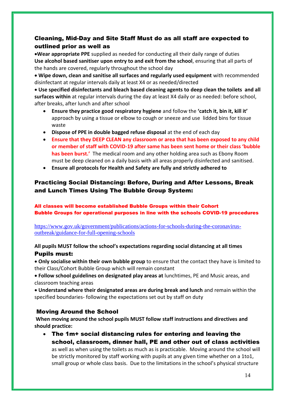## Cleaning, Mid-Day and Site Staff Must do as all staff are expected to outlined prior as well as

•**Wear appropriate PPE** supplied as needed for conducting all their daily range of duties **Use alcohol based sanitiser upon entry to and exit from the school**, ensuring that all parts of the hands are covered, regularly throughout the school day

• **Wipe down, clean and sanitise all surfaces and regularly used equipment** with recommended disinfectant at regular intervals daily at least X4 or as needed/directed

• **Use specified disinfectants and bleach based cleaning agents to deep clean the toilets and all surfaces within** at regular intervals during the day at least X4 daily or as needed: before school, after breaks, after lunch and after school

- **Ensure they practice good respiratory hygiene** and follow the **'catch it, bin it, kill it'** approach by using a tissue or elbow to cough or sneeze and use lidded bins for tissue waste
- **Dispose of PPE in double bagged refuse disposal** at the end of each day
- **Ensure that they DEEP CLEAN any classroom or area that has been exposed to any child or member of staff with COVID-19 after same has been sent home or their class 'bubble has been burst.'** The medical room and any other holding area such as Ebony Room must be deep cleaned on a daily basis with all areas properly disinfected and sanitised.
- **Ensure all protocols for Health and Safety are fully and strictly adhered to**

## Practicing Social Distancing: Before, During and After Lessons, Break and Lunch Times Using The Bubble Group System:

All classes will become established Bubble Groups within their Cohort Bubble Groups for operational purposes in line with the schools COVID-19 procedures

[https://www.gov.uk/government/publications/actions-for-schools-during-the-coronavirus](https://www.gov.uk/government/publications/actions-for-schools-during-the-coronavirus-outbreak/guidance-for-full-opening-schools)[outbreak/guidance-for-full-opening-schools](https://www.gov.uk/government/publications/actions-for-schools-during-the-coronavirus-outbreak/guidance-for-full-opening-schools)

#### **All pupils MUST follow the school's expectations regarding social distancing at all times** Pupils must:

• **Only socialise within their own bubble group** to ensure that the contact they have is limited to their Class/Cohort Bubble Group which will remain constant

• **Follow school guidelines on designated play areas at** lunchtimes, PE and Music areas, and classroom teaching areas

• **Understand where their designated areas are during break and lunch** and remain within the specified boundaries- following the expectations set out by staff on duty

#### Moving Around the School

**When moving around the school pupils MUST follow staff instructions and directives and should practice:**

• The 1m+ social distancing rules for entering and leaving the school, classroom, dinner hall, PE and other out of class activities as well as when using the toilets as much as is practicable. Moving around the school will be strictly monitored by staff working with pupils at any given time whether on a 1to1, small group or whole class basis. Due to the limitations in the school's physical structure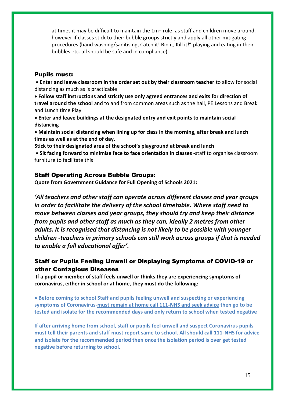at times it may be difficult to maintain the 1m+ rule as staff and children move around, however if classes stick to their bubble groups strictly and apply all other mitigating procedures (hand washing/sanitising, Catch it! Bin it, Kill it!" playing and eating in their bubbles etc. all should be safe and in compliance).

#### Pupils must:

• **Enter and leave classroom in the order set out by their classroom teacher** to allow for social distancing as much as is practicable

• **Follow staff instructions and strictly use only agreed entrances and exits for direction of travel around the school** and to and from common areas such as the hall, PE Lessons and Break and Lunch time Play

• **Enter and leave buildings at the designated entry and exit points to maintain social distancing**

• **Maintain social distancing when lining up for class in the morning, after break and lunch times as well as at the end of day**.

**Stick to their designated area of the school's playground at break and lunch**

• **Sit facing forward to minimise face to face orientation in classes** -staff to organise classroom furniture to facilitate this

#### Staff Operating Across Bubble Groups:

**Quote from Government Guidance for Full Opening of Schools 2021:**

*'All teachers and other staff can operate across different classes and year groups in order to facilitate the delivery of the school timetable. Where staff need to move between classes and year groups, they should try and keep their distance from pupils and other staff as much as they can, ideally 2 metres from other adults. It is recognised that distancing is not likely to be possible with younger children -teachers in primary schools can still work across groups if that is needed to enable a full educational offer'.*

## Staff or Pupils Feeling Unwell or Displaying Symptoms of COVID-19 or other Contagious Diseases

**If a pupil or member of staff feels unwell or thinks they are experiencing symptoms of coronavirus, either in school or at home, they must do the following:** 

• **Before coming to school Staff and pupils feeling unwell and suspecting or experiencing symptoms of Coronavirus-must remain at home call 111-NHS and seek advice then go to be tested and isolate for the recommended days and only return to school when tested negative**

**If after arriving home from school, staff or pupils feel unwell and suspect Coronavirus pupils must tell their parents and staff must report same to school. All should call 111-NHS for advice and isolate for the recommended period then once the isolation period is over get tested negative before returning to school.**